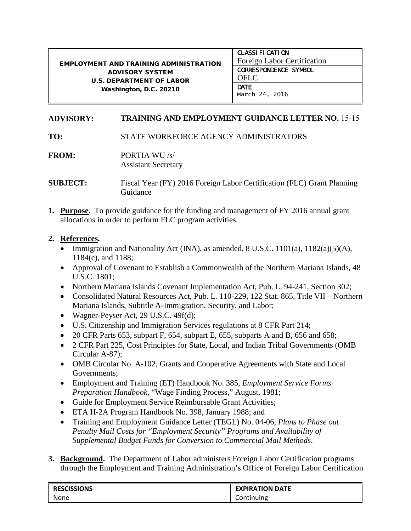## EMPLOYMENT AND TRAINING ADMINISTRATION ADVISORY SYSTEM U.S. DEPARTMENT OF LABOR Washington, D.C. 20210

**CLASSIFICATION** Foreign Labor Certification CORRESPONDENCE SYMBOL OFLC **DATE** March 24, 2016

## **ADVISORY: TRAINING AND EMPLOYMENT GUIDANCE LETTER NO.** 15-15

**TO:** STATE WORKFORCE AGENCY ADMINISTRATORS

**FROM:** PORTIA WU /s/ Assistant Secretary

**SUBJECT:** Fiscal Year (FY) 2016 Foreign Labor Certification (FLC) Grant Planning Guidance

**1. Purpose.** To provide guidance for the funding and management of FY 2016 annual grant allocations in order to perform FLC program activities.

## **2. References.**

- Immigration and Nationality Act (INA), as amended, 8 U.S.C. 1101(a),  $1182(a)(5)(A)$ , 1184(c), and 1188;
- Approval of Covenant to Establish a Commonwealth of the Northern Mariana Islands, 48 U.S.C. 1801;
- Northern Mariana Islands Covenant Implementation Act, Pub. L. 94-241, Section 302;
- Consolidated Natural Resources Act, Pub. L. 110-229, 122 Stat. 865, Title VII Northern Mariana Islands, Subtitle A-Immigration, Security, and Labor;
- Wagner-Peyser Act, 29 U.S.C. 49f(d);
- U.S. Citizenship and Immigration Services regulations at 8 CFR Part 214;
- 20 CFR Parts 653, subpart F, 654, subpart E, 655, subparts A and B, 656 and 658;
- 2 CFR Part 225, Cost Principles for State, Local, and Indian Tribal Governments (OMB Circular A-87);
- OMB Circular No. A-102, Grants and Cooperative Agreements with State and Local Governments;
- Employment and Training (ET) Handbook No. 385, *Employment Service Forms Preparation Handbook,* "Wage Finding Process," August, 1981;
- Guide for Employment Service Reimbursable Grant Activities;
- ETA H-2A Program Handbook No. 398, January 1988; and
- Training and Employment Guidance Letter (TEGL) No. 04-06, *Plans to Phase out Penalty Mail Costs for "Employment Security" Programs and Availability of Supplemental Budget Funds for Conversion to Commercial Mail Methods*.
- **3. Background.** The Department of Labor administers Foreign Labor Certification programs through the Employment and Training Administration's Office of Foreign Labor Certification

| <b>RESCISSIONS</b> | <b>EXPIRATION DATE</b> |
|--------------------|------------------------|
| None               | Continuing             |